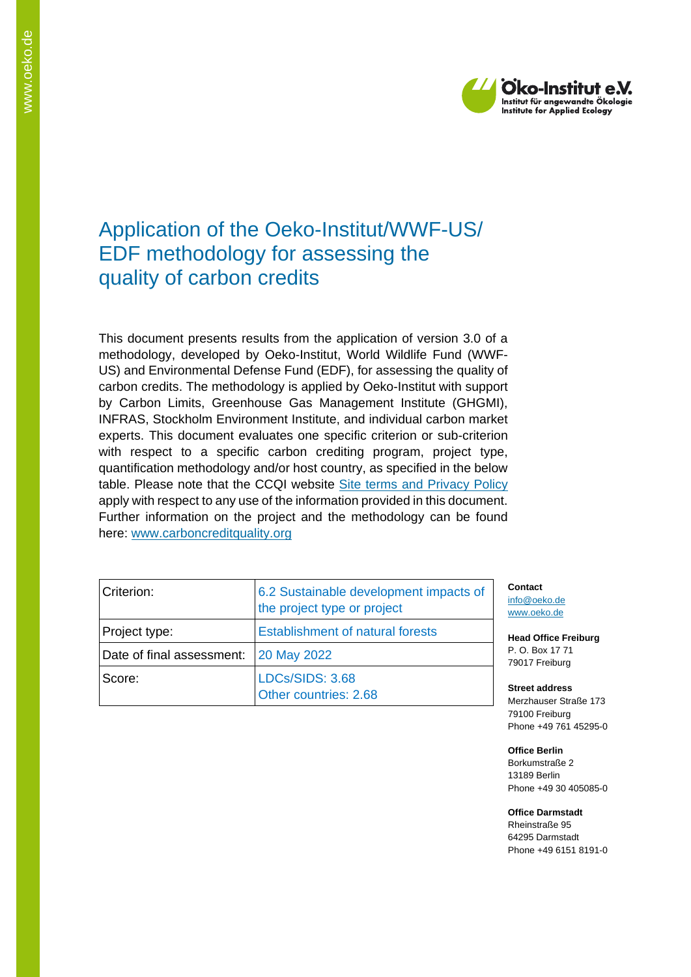

## Application of the Oeko-Institut/WWF-US/ EDF methodology for assessing the quality of carbon credits

This document presents results from the application of version 3.0 of a methodology, developed by Oeko-Institut, World Wildlife Fund (WWF-US) and Environmental Defense Fund (EDF), for assessing the quality of carbon credits. The methodology is applied by Oeko-Institut with support by Carbon Limits, Greenhouse Gas Management Institute (GHGMI), INFRAS, Stockholm Environment Institute, and individual carbon market experts. This document evaluates one specific criterion or sub-criterion with respect to a specific carbon crediting program, project type, quantification methodology and/or host country, as specified in the below table. Please note that the CCQI website [Site terms and Privacy Policy](https://carboncreditquality.org/terms.html) apply with respect to any use of the information provided in this document. Further information on the project and the methodology can be found here: [www.carboncreditquality.org](http://www.carboncreditquality.org/)

| Criterion:                | 6.2 Sustainable development impacts of<br>the project type or project |
|---------------------------|-----------------------------------------------------------------------|
| Project type:             | <b>Establishment of natural forests</b>                               |
| Date of final assessment: | 20 May 2022                                                           |
| Score:                    | LDCs/SIDS: 3.68<br>Other countries: 2.68                              |

**Contact** [info@oeko.de](mailto:info@oeko.de) [www.oeko.de](http://www.oeko.de/)

**Head Office Freiburg** P. O. Box 17 71 79017 Freiburg

**Street address** Merzhauser Straße 173 79100 Freiburg Phone +49 761 45295-0

**Office Berlin** Borkumstraße 2 13189 Berlin Phone +49 30 405085-0

**Office Darmstadt** Rheinstraße 95 64295 Darmstadt Phone +49 6151 8191-0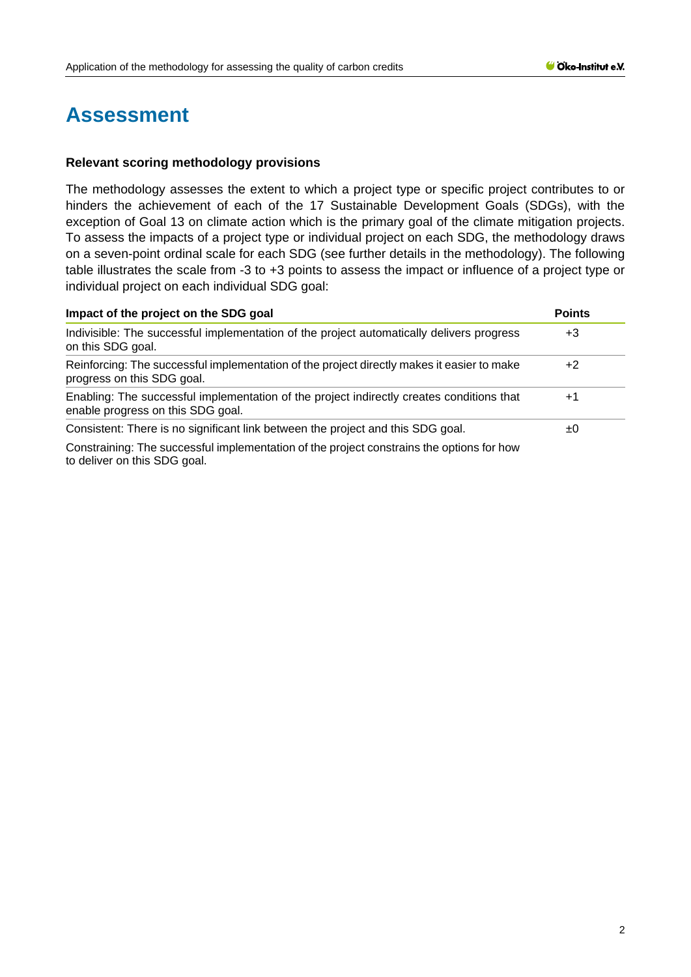## **Assessment**

## **Relevant scoring methodology provisions**

The methodology assesses the extent to which a project type or specific project contributes to or hinders the achievement of each of the 17 Sustainable Development Goals (SDGs), with the exception of Goal 13 on climate action which is the primary goal of the climate mitigation projects. To assess the impacts of a project type or individual project on each SDG, the methodology draws on a seven-point ordinal scale for each SDG (see further details in the methodology). The following table illustrates the scale from -3 to +3 points to assess the impact or influence of a project type or individual project on each individual SDG goal:

| Impact of the project on the SDG goal<br>Indivisible: The successful implementation of the project automatically delivers progress<br>on this SDG goal. |  |  |
|---------------------------------------------------------------------------------------------------------------------------------------------------------|--|--|
|                                                                                                                                                         |  |  |
| Enabling: The successful implementation of the project indirectly creates conditions that<br>enable progress on this SDG goal.                          |  |  |
| Consistent: There is no significant link between the project and this SDG goal.                                                                         |  |  |
| Constraining: The successful implementation of the project constrains the options for how<br>to deliver on this SDG goal.                               |  |  |